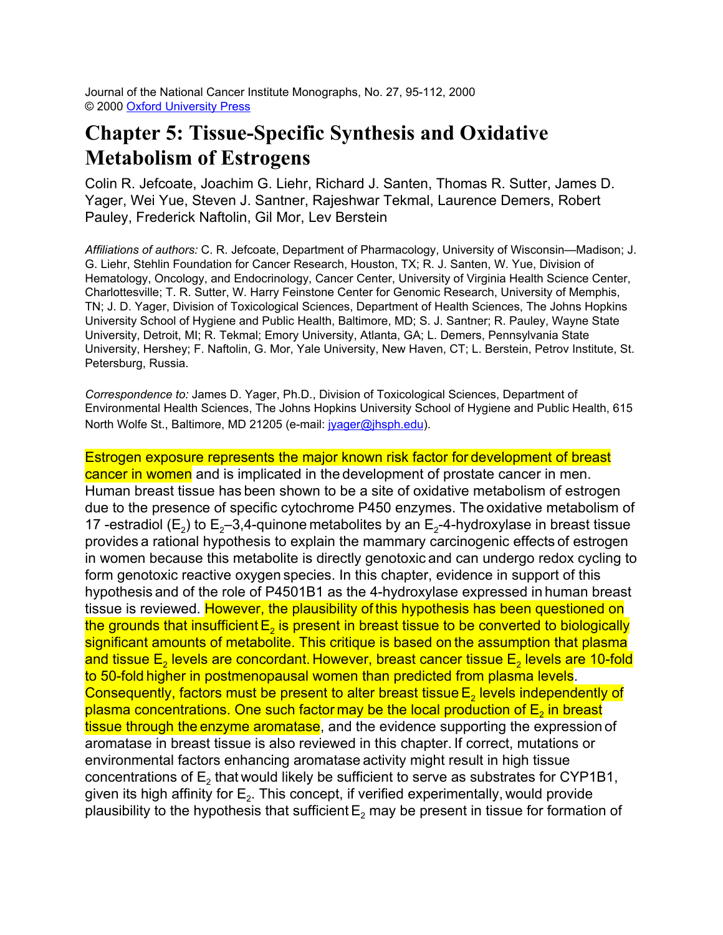Journal of the National Cancer Institute Monographs, No. 27, 95-112, 2000 © 2000 Oxford University Press

## **Chapter 5: Tissue-Specific Synthesis and Oxidative Metabolism of Estrogens**

Colin R. Jefcoate, Joachim G. Liehr, Richard J. Santen, Thomas R. Sutter, James D. Yager, Wei Yue, Steven J. Santner, Rajeshwar Tekmal, Laurence Demers, Robert Pauley, Frederick Naftolin, Gil Mor, Lev Berstein

*Affiliations of authors:* C. R. Jefcoate, Department of Pharmacology, University of Wisconsin—Madison; J. G. Liehr, Stehlin Foundation for Cancer Research, Houston, TX; R. J. Santen, W. Yue, Division of Hematology, Oncology, and Endocrinology, Cancer Center, University of Virginia Health Science Center, Charlottesville; T. R. Sutter, W. Harry Feinstone Center for Genomic Research, University of Memphis, TN; J. D. Yager, Division of Toxicological Sciences, Department of Health Sciences, The Johns Hopkins University School of Hygiene and Public Health, Baltimore, MD; S. J. Santner; R. Pauley, Wayne State University, Detroit, MI; R. Tekmal; Emory University, Atlanta, GA; L. Demers, Pennsylvania State University, Hershey; F. Naftolin, G. Mor, Yale University, New Haven, CT; L. Berstein, Petrov Institute, St. Petersburg, Russia.

*Correspondence to:* James D. Yager, Ph.D., Division of Toxicological Sciences, Department of Environmental Health Sciences, The Johns Hopkins University School of Hygiene and Public Health, 615 North Wolfe St., Baltimore, MD 21205 (e-mail: [jyager@jhsph.edu](mailto:jyager@jhsph.edu)).

Estrogen exposure represents the major known risk factor for development of breast cancer in women and is implicated in the development of prostate cancer in men. Human breast tissue has been shown to be a site of oxidative metabolism of estrogen due to the presence of specific cytochrome P450 enzymes. The oxidative metabolism of 17 -estradiol (E<sub>2</sub>) to E<sub>2</sub>–3,4-quinone metabolites by an E<sub>2</sub>-4-hydroxylase in breast tissue provides a rational hypothesis to explain the mammary carcinogenic effects of estrogen in women because this metabolite is directly genotoxic and can undergo redox cycling to form genotoxic reactive oxygen species. In this chapter, evidence in support of this hypothesis and of the role of P4501B1 as the 4-hydroxylase expressed in human breast tissue is reviewed. However, the plausibility of this hypothesis has been questioned on the grounds that insufficient  $\mathsf{E}_2$  is present in breast tissue to be converted to biologically significant amounts of metabolite. This critique is based on the assumption that plasma and tissue  $\mathsf{E}_2$  levels are concordant. However, breast cancer tissue  $\mathsf{E}_2$  levels are 10-fold to 50-fold higher in postmenopausal women than predicted from plasma levels. Consequently, factors must be present to alter breast tissue  $\mathsf{E}_2$  levels independently of plasma concentrations. One such factor may be the local production of  $\mathsf{E}_2$  in breast tissue through the enzyme aromatase, and the evidence supporting the expression of aromatase in breast tissue is also reviewed in this chapter. If correct, mutations or environmental factors enhancing aromatase activity might result in high tissue concentrations of  $\mathsf{E}_2$  that would likely be sufficient to serve as substrates for CYP1B1, given its high affinity for  $\mathsf{E}_2$ . This concept, if verified experimentally, would provide plausibility to the hypothesis that sufficient  $\mathsf{E}_2$  may be present in tissue for formation of